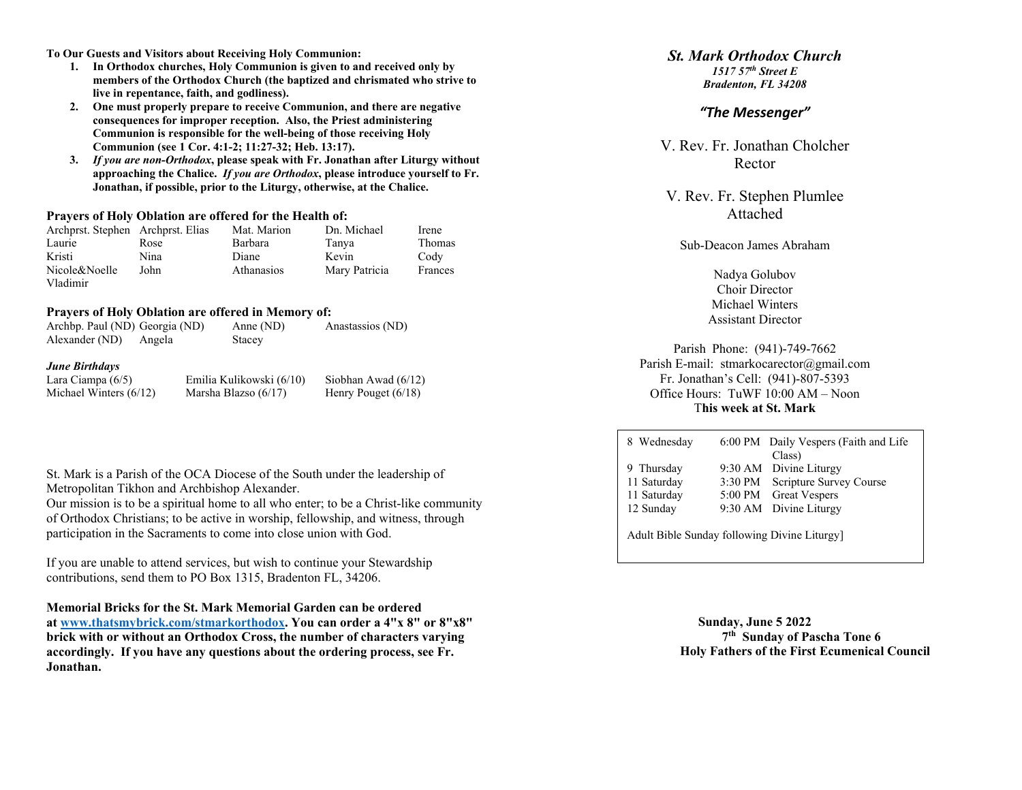**To Our Guests and Visitors about Receiving Holy Communion:**

- **1. In Orthodox churches, Holy Communion is given to and received only by members of the Orthodox Church (the baptized and chrismated who strive to live in repentance, faith, and godliness).**
- **2. One must properly prepare to receive Communion, and there are negative consequences for improper reception. Also, the Priest administering Communion is responsible for the well-being of those receiving Holy Communion (see 1 Cor. 4:1-2; 11:27-32; Heb. 13:17).**
- **3.** *If you are non-Orthodox***, please speak with Fr. Jonathan after Liturgy without approaching the Chalice.** *If you are Orthodox***, please introduce yourself to Fr. Jonathan, if possible, prior to the Liturgy, otherwise, at the Chalice.**

#### **Prayers of Holy Oblation are offered for the Health of:**

| Archprst. Stephen Archprst. Elias |      | Mat. Marion       | Dn. Michael   | Irene   |
|-----------------------------------|------|-------------------|---------------|---------|
| Laurie                            | Rose | Barbara           | Tanya         | Thomas  |
| Kristi                            | Nina | Diane             | Kevin         | Cody    |
| Nicole&Noelle                     | John | <b>Athanasios</b> | Mary Patricia | Frances |
| Vladimir                          |      |                   |               |         |

#### **Prayers of Holy Oblation are offered in Memory of:**

| Archbp. Paul (ND) Georgia (ND)                   |        | Anne (ND)                | Anastassios (ND)      | Assistant Director               |
|--------------------------------------------------|--------|--------------------------|-----------------------|----------------------------------|
| Alexander (ND)                                   | Angela | Stacey                   |                       | Parish Phone: (941)-749-         |
| <b>June Birthdays</b>                            |        |                          |                       | Parish E-mail: stmarkocarector(a |
| Lara Ciampa $(6/5)$                              |        | Emilia Kulikowski (6/10) | Siobhan Awad $(6/12)$ | Fr. Jonathan's Cell: (941)-80    |
| Michael Winters $(6/12)$<br>Marsha Blazso (6/17) |        |                          | Henry Pouget $(6/18)$ | Office Hours: TuWF 10:00 Al      |
|                                                  |        |                          |                       | This week at St Mar              |

|                                               | St. Mark is a Parish of the OCA Diocese of the South under the leadership of |
|-----------------------------------------------|------------------------------------------------------------------------------|
| Metropolitan Tikhon and Archbishop Alexander. |                                                                              |

Our mission is to be a spiritual home to all who enter; to be a Christ-like community of Orthodox Christians; to be active in worship, fellowship, and witness, through participation in the Sacraments to come into close union with God.

If you are unable to attend services, but wish to continue your Stewardship contributions, send them to PO Box 1315, Bradenton FL, 34206.

**Memorial Bricks for the St. Mark Memorial Garden can be ordered at [www.thatsmybrick.com/stmarkorthodox.](http://www.thatsmybrick.com/stmarkorthodox) You can order a 4"x 8" or 8"x8" brick with or without an Orthodox Cross, the number of characters varying accordingly. If you have any questions about the ordering process, see Fr. Jonathan.**

# *St. Mark Orthodox Church*

*1517 57th Street E Bradenton, FL 34208*

# *"The Messenger"*

V. Rev. Fr. Jonathan Cholcher Rector

V. Rev. Fr. Stephen Plumlee Attached

Sub-Deacon James Abraham

Nadya Golubov Choir Director Michael Winters  $A$ ssistant  $D$ iss $t$ 

Parish Phoe 2 amail.com 07-5393 M – Noon T**his week at St. Mark**

| 8 Wednesday                                 |  | 6:00 PM Daily Vespers (Faith and Life |
|---------------------------------------------|--|---------------------------------------|
|                                             |  | Class)                                |
| 9 Thursday                                  |  | 9:30 AM Divine Liturgy                |
| 11 Saturday                                 |  | 3:30 PM Scripture Survey Course       |
| 11 Saturday                                 |  | 5:00 PM Great Vespers                 |
| 12 Sunday                                   |  | 9:30 AM Divine Liturgy                |
|                                             |  |                                       |
| Adult Bible Sunday following Divine Liturgy |  |                                       |

**Sunday, June 5 2022 7th Sunday of Pascha Tone 6 Holy Fathers of the First Ecumenical Council**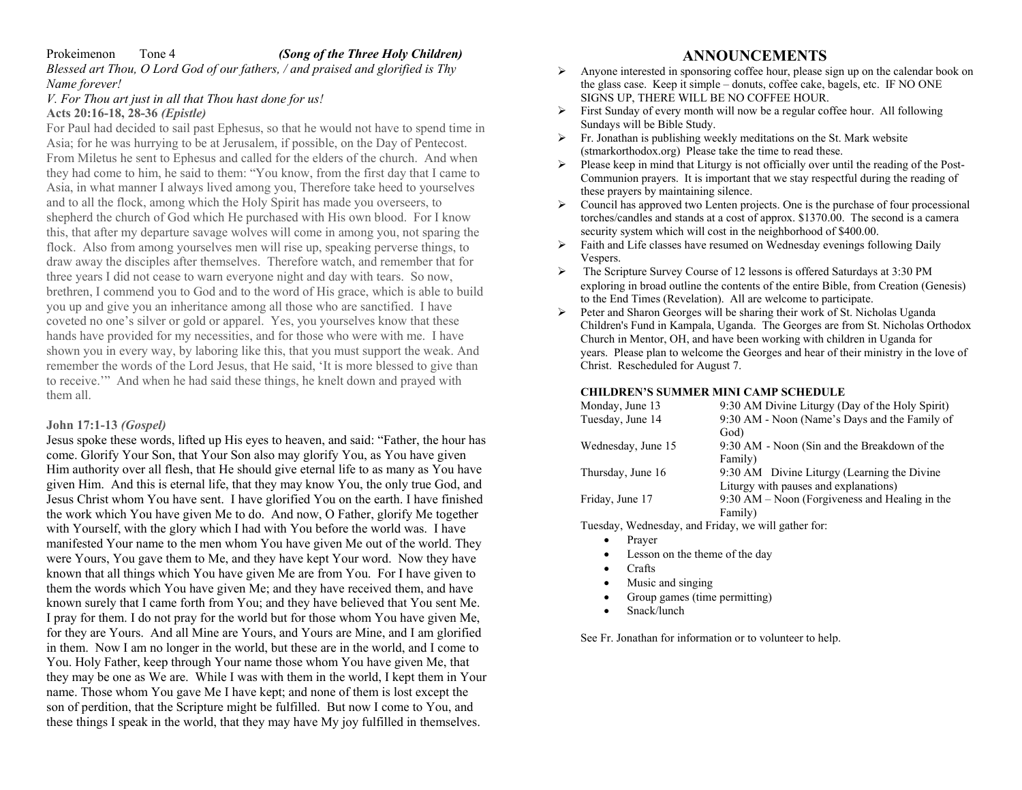# Prokeimenon Tone 4 *(Song of the Three Holy Children)*

*Blessed art Thou, O Lord God of our fathers, / and praised and glorified is Thy Name forever!* 

### *V. For Thou art just in all that Thou hast done for us!* **Acts 20:16-18, 28-36** *(Epistle)*

For Paul had decided to sail past Ephesus, so that he would not have to spend time in Asia; for he was hurrying to be at Jerusalem, if possible, on the Day of Pentecost. From Miletus he sent to Ephesus and called for the elders of the church. And when they had come to him, he said to them: "You know, from the first day that I came to Asia, in what manner I always lived among you, Therefore take heed to yourselves and to all the flock, among which the Holy Spirit has made you overseers, to shepherd the church of God which He purchased with His own blood. For I know this, that after my departure savage wolves will come in among you, not sparing the flock. Also from among yourselves men will rise up, speaking perverse things, to draw away the disciples after themselves. Therefore watch, and remember that for three years I did not cease to warn everyone night and day with tears. So now, brethren, I commend you to God and to the word of His grace, which is able to build you up and give you an inheritance among all those who are sanctified. I have coveted no one's silver or gold or apparel. Yes, you yourselves know that these hands have provided for my necessities, and for those who were with me. I have shown you in every way, by laboring like this, that you must support the weak. And remember the words of the Lord Jesus, that He said, 'It is more blessed to give than to receive.'" And when he had said these things, he knelt down and prayed with them all.

# **John 17:1-13** *(Gospel)*

Jesus spoke these words, lifted up His eyes to heaven, and said: "Father, the hour has come. Glorify Your Son, that Your Son also may glorify You, as You have given Him authority over all flesh, that He should give eternal life to as many as You have given Him. And this is eternal life, that they may know You, the only true God, and Jesus Christ whom You have sent. I have glorified You on the earth. I have finished the work which You have given Me to do. And now, O Father, glorify Me together with Yourself, with the glory which I had with You before the world was. I have manifested Your name to the men whom You have given Me out of the world. They were Yours, You gave them to Me, and they have kept Your word. Now they have known that all things which You have given Me are from You. For I have given to them the words which You have given Me; and they have received them, and have known surely that I came forth from You; and they have believed that You sent Me. I pray for them. I do not pray for the world but for those whom You have given Me, for they are Yours. And all Mine are Yours, and Yours are Mine, and I am glorified in them. Now I am no longer in the world, but these are in the world, and I come to You. Holy Father, keep through Your name those whom You have given Me, that they may be one as We are. While I was with them in the world, I kept them in Your name. Those whom You gave Me I have kept; and none of them is lost except the son of perdition, that the Scripture might be fulfilled. But now I come to You, and these things I speak in the world, that they may have My joy fulfilled in themselves.

# **ANNOUNCEMENTS**

- Anyone interested in sponsoring coffee hour, please sign up on the calendar book on the glass case. Keep it simple – donuts, coffee cake, bagels, etc. IF NO ONE SIGNS UP, THERE WILL BE NO COFFEE HOUR.
- First Sunday of every month will now be a regular coffee hour. All following Sundays will be Bible Study.
- $\triangleright$  Fr. Jonathan is publishing weekly meditations on the St. Mark website (stmarkorthodox.org) Please take the time to read these.
- $\triangleright$  Please keep in mind that Liturgy is not officially over until the reading of the Post-Communion prayers. It is important that we stay respectful during the reading of these prayers by maintaining silence.
- Council has approved two Lenten projects. One is the purchase of four processional torches/candles and stands at a cost of approx. \$1370.00. The second is a camera security system which will cost in the neighborhood of \$400.00.
- Faith and Life classes have resumed on Wednesday evenings following Daily Vespers.
- The Scripture Survey Course of 12 lessons is offered Saturdays at 3:30 PM exploring in broad outline the contents of the entire Bible, from Creation (Genesis) to the End Times (Revelation). All are welcome to participate.
- Peter and Sharon Georges will be sharing their work of St. Nicholas Uganda Children's Fund in Kampala, Uganda. The Georges are from St. Nicholas Orthodox Church in Mentor, OH, and have been working with children in Uganda for years. Please plan to welcome the Georges and hear of their ministry in the love of Christ. Rescheduled for August 7.

#### **CHILDREN'S SUMMER MINI CAMP SCHEDULE**

| Monday, June 13    | 9:30 AM Divine Liturgy (Day of the Holy Spirit)  |
|--------------------|--------------------------------------------------|
| Tuesday, June 14   | 9:30 AM - Noon (Name's Days and the Family of    |
|                    | God)                                             |
| Wednesday, June 15 | 9:30 AM - Noon (Sin and the Breakdown of the     |
|                    | Family)                                          |
| Thursday, June 16  | 9:30 AM Divine Liturgy (Learning the Divine      |
|                    | Liturgy with pauses and explanations)            |
| Friday, June 17    | $9:30$ AM – Noon (Forgiveness and Healing in the |
|                    | Family)                                          |

Tuesday, Wednesday, and Friday, we will gather for:

- Prayer
- Lesson on the theme of the day
- Crafts
- Music and singing
- Group games (time permitting)
- Snack/lunch

See Fr. Jonathan for information or to volunteer to help.